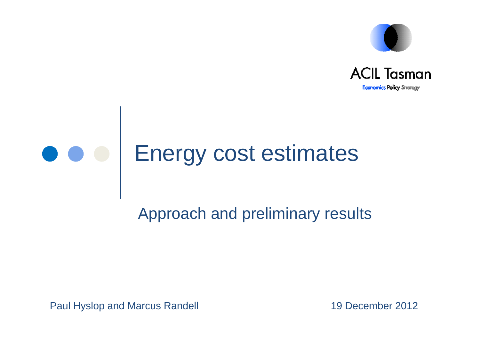



## Energy cost estimates

#### Approach and preliminary results

Paul Hyslop and Marcus Randell 19 December 2012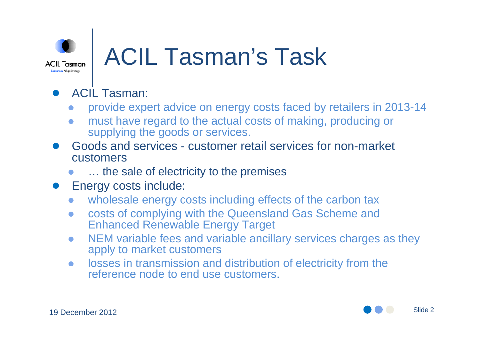

### **ACIL Tasman's Task**

#### ●ACIL Tasman:

- $\bullet$ provide expert advice on energy costs faced by retailers in 2013-14
- $\bullet$  must have regard to the actual costs of making, producing or supplying the goods or services.
- Goods and services customer retail services for non-market customers
	- $\bullet$ ... the sale of electricity to the premises
- Energy costs include:
	- $\bullet$ wholesale energy costs including effects of the carbon tax
	- $\bullet$  costs of complying with the Queensland Gas Scheme and Enhanced Renewable Energy Target
	- $\bullet$  NEM variable fees and variable ancillary services charges as they apply to market customers
	- $\bullet$  losses in transmission and distribution of electricity from the reference node to end use customers.



Slide 2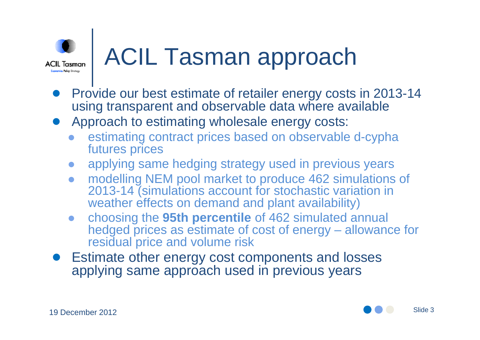

### ACIL Tasman approach

- ●• Provide our best estimate of retailer energy costs in 2013-14 using transparent and observable data where available
- Approach to estimating wholesale energy costs:
	- $\bullet$  estimating contract prices based on observable d-cypha futures prices
	- $\bullet$ applying same hedging strategy used in previous years
	- $\bullet$  modelling NEM pool market to produce 462 simulations of 2013-14 (simulations account for stochastic variation in weather effects on demand and plant availability)
	- $\bullet$  choosing the **95th percentile** of 462 simulated annual hedged prices as estimate of cost of energy – allowance for residual price and volume risk
- ● Estimate other energy cost components and losses applying same approach used in previous years

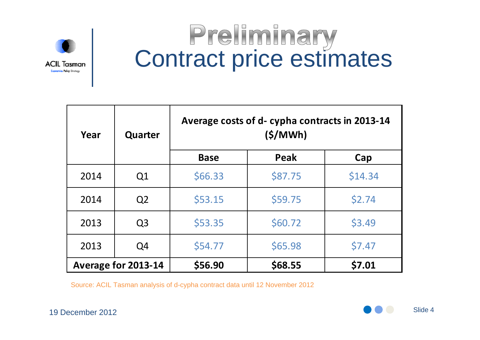

# **Preliminary<br>Contract price estimates**

| Year                | Quarter        | Average costs of d- cypha contracts in 2013-14<br>(S/MWh) |         |         |  |  |  |
|---------------------|----------------|-----------------------------------------------------------|---------|---------|--|--|--|
|                     |                | <b>Base</b>                                               | Peak    | Cap     |  |  |  |
| 2014                | Q1             | \$66.33                                                   | \$87.75 | \$14.34 |  |  |  |
| 2014                | Q <sub>2</sub> | \$53.15                                                   | \$59.75 | \$2.74  |  |  |  |
| 2013                | Q <sub>3</sub> | \$53.35                                                   | \$60.72 | \$3.49  |  |  |  |
| 2013                | Q4             | \$54.77                                                   | \$65.98 | \$7.47  |  |  |  |
| Average for 2013-14 |                | \$56.90                                                   | \$68.55 | \$7.01  |  |  |  |

Source: ACIL Tasman analysis of d-cypha contract data until 12 November 2012 2012 Source: ACIL Tasman analysis of d-cypha contract data until 12 November<br>19 December 2012

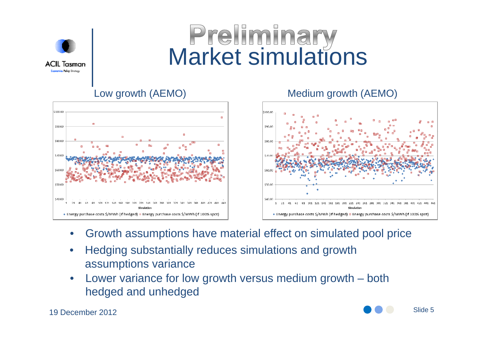

# **Preliminary<br>Market simulations**



#### Low growth (AEMO) Medium growth (AEMO)



- •Growth assumptions have material effect on simulated pool price
- •• Hedging substantially reduces simulations and growth assumptions variance
- • Lower variance for low growth versus medium growth – both hedged and unhedged

19 December 2012

Slide 5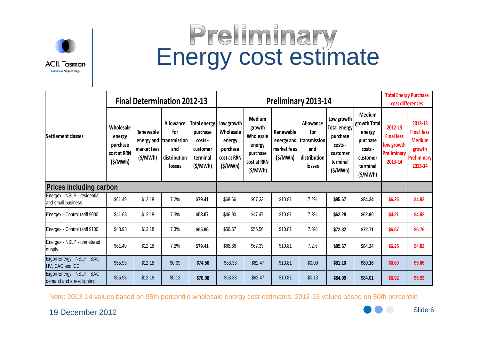

# **Preliminary<br>Energy cost estimate**

|                                                         | <b>Final Determination 2012-13</b>                        |                                     |                                                                               | <b>Preliminary 2013-14</b>                                             |                                                                         |                                                                                      |                                     |                                                                              | <b>Total Energy Purchase</b><br>cost differences                                            |                                                                                            |                                                                      |                                                                                          |
|---------------------------------------------------------|-----------------------------------------------------------|-------------------------------------|-------------------------------------------------------------------------------|------------------------------------------------------------------------|-------------------------------------------------------------------------|--------------------------------------------------------------------------------------|-------------------------------------|------------------------------------------------------------------------------|---------------------------------------------------------------------------------------------|--------------------------------------------------------------------------------------------|----------------------------------------------------------------------|------------------------------------------------------------------------------------------|
| Settlement classes                                      | Wholesale<br>energy<br>purchase<br>cost at RRN<br>(S/MWh) | Renewable<br>market fees<br>(S/MWh) | Allowance<br>for<br>energy and  transmission<br>and<br>distribution<br>losses | Total energy<br>purchase<br>costs -<br>customer<br>terminal<br>(S/MWh) | Low growth<br>Wholesale<br>energy<br>purchase<br>cost at RRN<br>(S/MWh) | <b>Medium</b><br>growth<br>Wholesale<br>energy<br>purchase<br>cost at RRN<br>(S/MWh) | Renewable<br>market fees<br>(S/MWh) | Allowance<br>for<br>energy and transmission<br>and<br>distribution<br>losses | Low growth<br><b>Total energy</b><br>purchase<br>costs -<br>customer<br>terminal<br>(S/MWh) | Medium<br>growth Total<br>energy<br>purchase<br>costs -<br>customer<br>terminal<br>(S/MWh) | 2012-13<br><b>Final less</b><br>low growth<br>Preliminary<br>2013-14 | 2012-13<br><b>Final less</b><br><b>Medium</b><br>growth<br><b>Preliminary</b><br>2013-14 |
| <b>Prices including carbon</b>                          |                                                           |                                     |                                                                               |                                                                        |                                                                         |                                                                                      |                                     |                                                                              |                                                                                             |                                                                                            |                                                                      |                                                                                          |
| Energex - NSLP - residential<br>and small business      | \$61.49                                                   | \$12.18                             | 7.2%                                                                          | \$79.41                                                                | \$68.66                                                                 | \$67.33                                                                              | \$10.81                             | 7.2%                                                                         | \$85.67                                                                                     | \$84.24                                                                                    | \$6.25                                                               | \$4.82                                                                                   |
| Energex - Control tariff 9000                           | \$41.63                                                   | \$12.18                             | 7.3%                                                                          | \$58.07                                                                | \$46.90                                                                 | \$47.47                                                                              | \$10.81                             | 7.3%                                                                         | \$62.28                                                                                     | \$62.90                                                                                    | \$4.21                                                               | \$4.82                                                                                   |
| Energex - Control tariff 9100                           | \$48.93                                                   | \$12.18                             | 7.3%                                                                          | \$65.95                                                                | \$56.67                                                                 | \$56.56                                                                              | \$10.81                             | 7.3%                                                                         | \$72.82                                                                                     | \$72.71                                                                                    | \$6.87                                                               | \$6.76                                                                                   |
| Energex - NSLP - unmetered<br>supply                    | \$61.49                                                   | \$12.18                             | 7.2%                                                                          | \$79.41                                                                | \$68.66                                                                 | \$67.33                                                                              | \$10.81                             | 7.2%                                                                         | \$85.67                                                                                     | \$84.24                                                                                    | \$6.25                                                               | \$4.82                                                                                   |
| Ergon Energy - NSLP - SAC<br>HV, CAC and ICC            | \$55.93                                                   | \$12.18                             | \$0.09                                                                        | \$74.50                                                                | \$63.33                                                                 | \$62.47                                                                              | \$10.81                             | \$0.09                                                                       | \$81.10                                                                                     | \$80.16                                                                                    | \$6.60                                                               | \$5.66                                                                                   |
| Ergon Energy - NSLP - SAC<br>demand and street lighting | \$55.93                                                   | \$12.18                             | \$0.13                                                                        | \$78.08                                                                | \$63.33                                                                 | \$62.47                                                                              | \$10.81                             | \$0.13                                                                       | \$84.99                                                                                     | \$84.01                                                                                    | \$6.92                                                               | \$5.93                                                                                   |

Note: 2013-14 values based on 95th percentile wholesale energy cost estimates; 2012-13 values based on 50th percentile